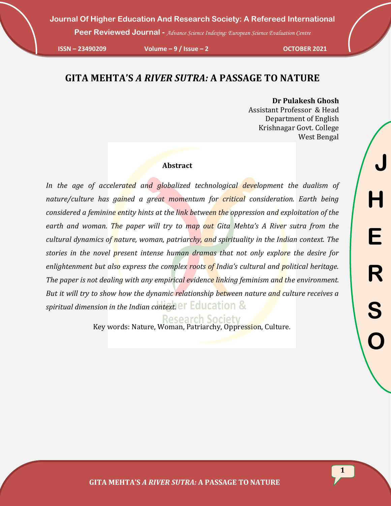**Peer Reviewed Journal -** *Advance Science Indexing: European Science Evaluation Centre*

**ISSN – 23490209 Volume – 9 / Issue – 2 OCTOBER 2021**

# **GITA MEHTA'S** *A RIVER SUTRA:* **A PASSAGE TO NATURE**

**Dr Pulakesh Ghosh** Assistant Professor & Head Department of English Krishnagar Govt. College West Bengal

#### **Abstract**

In the age of accelerated and globalized technological development the dualism of nature/culture has gained a great momentum for critical consideration. Earth being *considered a feminine entity hints at the link between the oppression and exploitation of the*  earth and woman. The paper will try to map out Gita Mehta's A River sutra from the *cultural dynamics of nature, woman, patriarchy, and spirituality in the Indian context. The stories in the novel present intense human dramas that not only explore the desire for enlightenment but also express the complex roots of India's cultural and political heritage. The paper is not dealing with any empirical evidence linking feminism and the environment. But it will try to show how the dynamic relationship between nature and culture receives a spiritual dimension in the Indian context.*

**Research Society** 

Key words: Nature, Woman, Patriarchy, Oppression, Culture.

**1**

**GITA MEHTA'S** *A RIVER SUTRA:* **A PASSAGE TO NATURE**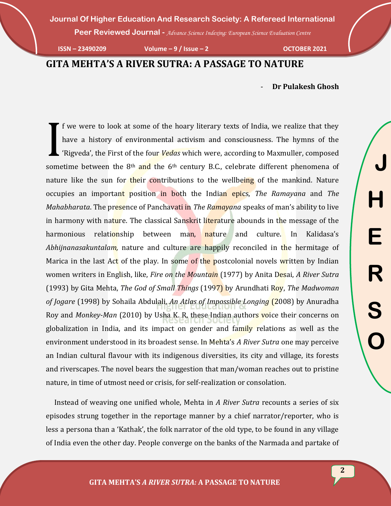**Peer Reviewed Journal -** *Advance Science Indexing: European Science Evaluation Centre*

**ISSN – 23490209 Volume – 9 / Issue – 2 OCTOBER 2021**

## **GITA MEHTA'S A RIVER SUTRA: A PASSAGE TO NATURE**

- **Dr Pulakesh Ghosh**

f we were to look at some of the hoary literary texts of India, we realize that they have a history of environmental activism and consciousness. The hymns of the 'Rigveda', the First of the four *Vedas* which were, according to Maxmuller, composed If we were to look at some of the hoary literary texts of India, we realize that they have a history of environmental activism and consciousness. The hymns of the 'Rigveda', the First of the four *Vedas* which were, accor nature like the sun for their contributions to the wellbeing of the mankind. Nature occupies an important position in both the Indian epics, *The Ramayana* and *The Mahabharata*. The presence of Panchavati in *The Ramayana* speaks of man's ability to live in harmony with nature. The classical Sanskrit literature abounds in the message of the harmonious relationship between man, nature and culture. In Kalidasa's *Abhijnanasakuntalam,* nature and culture are happily reconciled in the hermitage of Marica in the last Act of the play. In some of the postcolonial novels written by Indian women writers in English, like, *Fire on the Mountain* (1977) by Anita Desai, *A River Sutra* (1993) by Gita Mehta, *The God of Small Things* (1997) by Arundhati Roy, *The Madwoman of Jogare* (1998) by Sohaila Abdulali, *An Atlas of Impossible Longing* (2008) by Anuradha Roy and *Monkey-Man* (2010) by Usha K. R, these Indian authors voice their concerns on globalization in India, and its impact on gender and family relations as well as the environment understood in its broadest sense. In Mehta's *A River Sutra* one may perceive an Indian cultural flavour with its indigenous diversities, its city and village, its forests and riverscapes. The novel bears the suggestion that man/woman reaches out to pristine nature, in time of utmost need or crisis, for self-realization or consolation.

 Instead of weaving one unified whole, Mehta in *A River Sutra* recounts a series of six episodes strung together in the reportage manner by a chief narrator/reporter, who is less a persona than a 'Kathak', the folk narrator of the old type, to be found in any village of India even the other day. People converge on the banks of the Narmada and partake of

**2**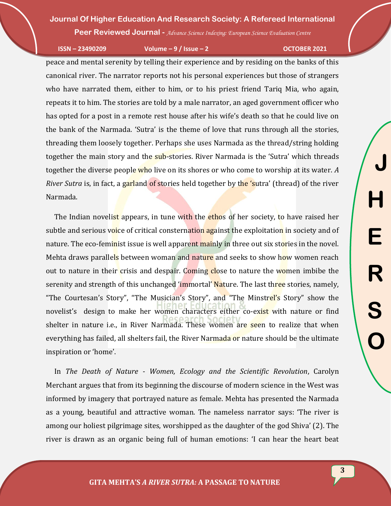**Peer Reviewed Journal -** *Advance Science Indexing: European Science Evaluation Centre*

**ISSN – 23490209 Volume – 9 / Issue – 2 OCTOBER 2021**

peace and mental serenity by telling their experience and by residing on the banks of this canonical river. The narrator reports not his personal experiences but those of strangers who have narrated them, either to him, or to his priest friend Tariq Mia, who again, repeats it to him. The stories are told by a male narrator, an aged government officer who has opted for a post in a remote rest house after his wife's death so that he could live on the bank of the Narmada. 'Sutra' is the theme of love that runs through all the stories, threading them loosely together. Perhaps she uses Narmada as the thread/string holding together the main story and the sub-stories. River Narmada is the 'Sutra' which threads together the diverse people who live on its shores or who come to worship at its water. *A River Sutra* is, in fact, a garland of stories held together by the 'sutra' (thread) of the river Narmada.

The Indian novelist appears, in tune with the ethos of her society, to have raised her subtle and serious voice of critical consternation against the exploitation in society and of nature. The eco-feminist issue is well apparent mainly in three out six stories in the novel. Mehta draws parallels between woman and nature and seeks to show how women reach out to nature in their crisis and despair. Coming close to nature the women imbibe the serenity and strength of this unchanged 'immortal' Nature. The last three stories, namely, "The Courtesan's Story", "The Musician's Story", and "The Minstrel's Story" show the novelist's design to make her women characters either co-exist with nature or find shelter in nature i.e., in River Narmada. These women are seen to realize that when everything has failed, all shelters fail, the River Narmada or nature should be the ultimate inspiration or 'home'.

 In *The Death of Nature - Women, Ecology and the Scientific Revolution*, Carolyn Merchant argues that from its beginning the discourse of modern science in the West was informed by imagery that portrayed nature as female. Mehta has presented the Narmada as a young, beautiful and attractive woman. The nameless narrator says: 'The river is among our holiest pilgrimage sites, worshipped as the daughter of the god Shiva' (2). The river is drawn as an organic being full of human emotions: 'I can hear the heart beat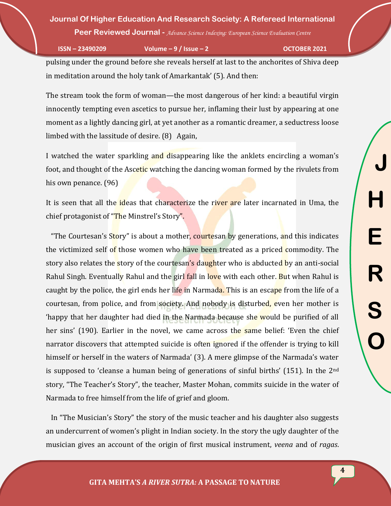**Peer Reviewed Journal -** *Advance Science Indexing: European Science Evaluation Centre*

**ISSN – 23490209 Volume – 9 / Issue – 2 OCTOBER 2021**

pulsing under the ground before she reveals herself at last to the anchorites of Shiva deep in meditation around the holy tank of Amarkantak' (5). And then:

The stream took the form of woman—the most dangerous of her kind: a beautiful virgin innocently tempting even ascetics to pursue her, inflaming their lust by appearing at one moment as a lightly dancing girl, at yet another as a romantic dreamer, a seductress loose limbed with the lassitude of desire. (8) Again,

I watched the water sparkling and disappearing like the anklets encircling a woman's foot, and thought of the Ascetic watching the dancing woman formed by the rivulets from his own penance. (96)

It is seen that all the ideas that characterize the river are later incarnated in Uma, the chief protagonist of "The Minstrel's Story".

"The Courtesan's Story" is about a mother, courtesan by generations, and this indicates the victimized self of those women who have been treated as a priced commodity. The story also relates the story of the courtesan's daughter who is abducted by an anti-social Rahul Singh. Eventually Rahul and the girl fall in love with each other. But when Rahul is caught by the police, the girl ends her life in Narmada. This is an escape from the life of a courtesan, from police, and from society. And nobody is disturbed, even her mother is 'happy that her daughter had died in the Narmada because she would be purified of all her sins' (190). Earlier in the novel, we came across the same belief: 'Even the chief narrator discovers that attempted suicide is often ignored if the offender is trying to kill himself or herself in the waters of Narmada' (3). A mere glimpse of the Narmada's water is supposed to 'cleanse a human being of generations of sinful births'  $(151)$ . In the 2<sup>nd</sup> story, "The Teacher's Story", the teacher, Master Mohan, commits suicide in the water of Narmada to free himself from the life of grief and gloom.

 In "The Musician's Story" the story of the music teacher and his daughter also suggests an undercurrent of women's plight in Indian society. In the story the ugly daughter of the musician gives an account of the origin of first musical instrument, *veena* and of *ragas*.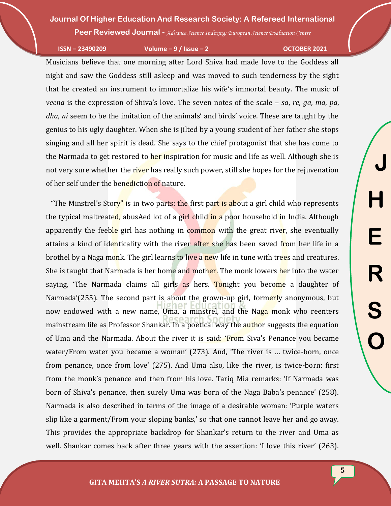**Peer Reviewed Journal -** *Advance Science Indexing: European Science Evaluation Centre*

**ISSN – 23490209 Volume – 9 / Issue – 2 OCTOBER 2021**

**J**

**H**

**E**

**R**

**S**

**O**

Musicians believe that one morning after Lord Shiva had made love to the Goddess all night and saw the Goddess still asleep and was moved to such tenderness by the sight that he created an instrument to immortalize his wife's immortal beauty. The music of *veena* is the expression of Shiva's love. The seven notes of the scale – *sa*, *re*, *ga*, *ma*, *pa*, *dha*, *ni* seem to be the imitation of the animals' and birds' voice. These are taught by the genius to his ugly daughter. When she is jilted by a young student of her father she stops singing and all her spirit is dead. She says to the chief protagonist that she has come to the Narmada to get restored to her inspiration for music and life as well. Although she is not very sure whether the river has really such power, still she hopes for the rejuvenation of her self under the benediction of nature.

"The Minstrel's Story" is in two parts: the first part is about a girl child who represents the typical maltreated, abusAed lot of a girl child in a poor household in India. Although apparently the feeble girl has nothing in common with the great river, she eventually attains a kind of identicality with the river after she has been saved from her life in a brothel by a Naga monk. The girl learns to live a new life in tune with trees and creatures. She is taught that Narmada is her home and mother. The monk lowers her into the water saying, 'The Narmada claims all girls as hers. Tonight you become a daughter of Narmada'(255). The second part is about the grown-up girl, formerly anonymous, but now endowed with a new name, Uma, a minstrel, and the Naga monk who reenters mainstream life as Professor Shankar. In a poetical way the author suggests the equation of Uma and the Narmada. About the river it is said: 'From Siva's Penance you became water/From water you became a woman' (273). And, 'The river is … twice-born, once from penance, once from love' (275). And Uma also, like the river, is twice-born: first from the monk's penance and then from his love. Tariq Mia remarks: 'If Narmada was born of Shiva's penance, then surely Uma was born of the Naga Baba's penance' (258). Narmada is also described in terms of the image of a desirable woman: 'Purple waters slip like a garment/From your sloping banks,' so that one cannot leave her and go away. This provides the appropriate backdrop for Shankar's return to the river and Uma as well. Shankar comes back after three years with the assertion: 'I love this river' (263).

**5**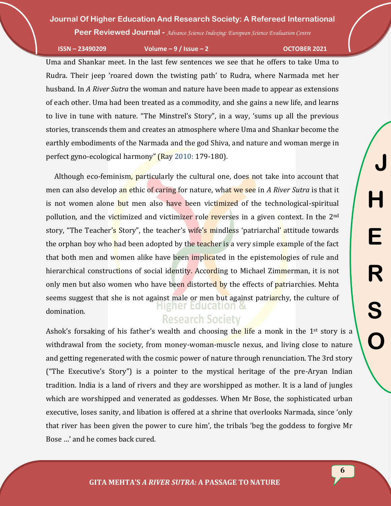**Peer Reviewed Journal -** *Advance Science Indexing: European Science Evaluation Centre*

**ISSN – 23490209 Volume – 9 / Issue – 2 OCTOBER 2021**

Uma and Shankar meet. In the last few sentences we see that he offers to take Uma to Rudra. Their jeep 'roared down the twisting path' to Rudra, where Narmada met her husband. In *A River Sutra* the woman and nature have been made to appear as extensions of each other. Uma had been treated as a commodity, and she gains a new life, and learns to live in tune with nature. "The Minstrel's Story", in a way, 'sums up all the previous stories, transcends them and creates an atmosphere where Uma and Shankar become the earthly embodiments of the Narmada and the god Shiva, and nature and woman merge in perfect gyno-ecological harmony" (Ray 2010: 179-180).

 Although eco-feminism, particularly the cultural one, does not take into account that men can also develop an ethic of caring for nature, what we see in *A River Sutra* is that it is not women alone but men also have been victimized of the technological-spiritual pollution, and the victimized and victimizer role reverses in a given context. In the 2<sup>nd</sup> story, "The Teacher's Story", the teacher's wife's mindless 'patriarchal' attitude towards the orphan boy who had been adopted by the teacher is a very simple example of the fact that both men and women alike have been implicated in the epistemologies of rule and hierarchical constructions of social identity. According to Michael Zimmerman, it is not only men but also women who have been distorted by the effects of patriarchies. Mehta seems suggest that she is not against male or men but against patriarchy, the culture of domination.

# **Research Society**

Ashok's forsaking of his father's wealth and choosing the life a monk in the  $1<sup>st</sup>$  story is a withdrawal from the society, from money-woman-muscle nexus, and living close to nature and getting regenerated with the cosmic power of nature through renunciation. The 3rd story ("The Executive's Story") is a pointer to the mystical heritage of the pre-Aryan Indian tradition. India is a land of rivers and they are worshipped as mother. It is a land of jungles which are worshipped and venerated as goddesses. When Mr Bose, the sophisticated urban executive, loses sanity, and libation is offered at a shrine that overlooks Narmada, since 'only that river has been given the power to cure him', the tribals 'beg the goddess to forgive Mr Bose …' and he comes back cured.

**J**

**H**

**E**

**R**

**S**

**O**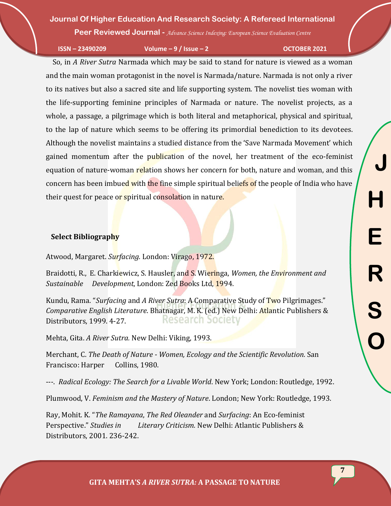**Peer Reviewed Journal -** *Advance Science Indexing: European Science Evaluation Centre*

**ISSN – 23490209 Volume – 9 / Issue – 2 OCTOBER 2021**

 So, in *A River Sutra* Narmada which may be said to stand for nature is viewed as a woman and the main woman protagonist in the novel is Narmada/nature. Narmada is not only a river to its natives but also a sacred site and life supporting system. The novelist ties woman with the life-supporting feminine principles of Narmada or nature. The novelist projects, as a whole, a passage, a pilgrimage which is both literal and metaphorical, physical and spiritual, to the lap of nature which seems to be offering its primordial benediction to its devotees. Although the novelist maintains a studied distance from the 'Save Narmada Movement' which gained momentum after the publication of the novel, her treatment of the eco-feminist equation of nature-woman relation shows her concern for both, nature and woman, and this concern has been imbued with the fine simple spiritual beliefs of the people of India who have their quest for peace or spiritual consolation in nature.

### **Select Bibliography**

Atwood, Margaret. *Surfacing.* London: Virago, 1972.

Braidotti, R., E. Charkiewicz, S. Hausler, and S. Wieringa, *Women, the Environment and Sustainable Development*, London: Zed Books Ltd, 1994.

Kundu, Rama. "*Surfacing* and *A River Sutra*: A Comparative Study of Two Pilgrimages." *Comparative English Literature*. Bhatnagar, M. K. (ed.) New Delhi: Atlantic Publishers & **Research Society** Distributors, 1999. 4-27.

Mehta, Gita. *A River Sutra.* New Delhi: Viking, 1993.

Merchant, C. *The Death of Nature - Women, Ecology and the Scientific Revolution.* San Francisco: Harper Collins, 1980.

---. *Radical Ecology: The Search for a Livable World*. New York; London: Routledge, 1992.

Plumwood, V. *Feminism and the Mastery of Nature*. London; New York: Routledge, 1993.

Ray, Mohit. K. "*The Ramayana*, *The Red Oleander* and *Surfacing*: An Eco-feminist Perspective." *Studies in Literary Criticism.* New Delhi: Atlantic Publishers & Distributors, 2001. 236-242.

**7**